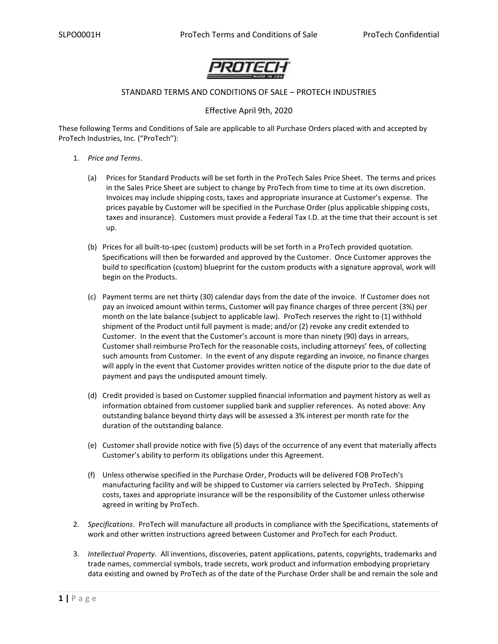

# STANDARD TERMS AND CONDITIONS OF SALE – PROTECH INDUSTRIES

# Effective April 9th, 2020

These following Terms and Conditions of Sale are applicable to all Purchase Orders placed with and accepted by ProTech Industries, Inc. ("ProTech"):

- 1. *Price and Terms*.
	- (a) Prices for Standard Products will be set forth in the ProTech Sales Price Sheet. The terms and prices in the Sales Price Sheet are subject to change by ProTech from time to time at its own discretion. Invoices may include shipping costs, taxes and appropriate insurance at Customer's expense. The prices payable by Customer will be specified in the Purchase Order (plus applicable shipping costs, taxes and insurance). Customers must provide a Federal Tax I.D. at the time that their account is set up.
	- (b) Prices for all built-to-spec (custom) products will be set forth in a ProTech provided quotation. Specifications will then be forwarded and approved by the Customer. Once Customer approves the build to specification (custom) blueprint for the custom products with a signature approval, work will begin on the Products.
	- (c) Payment terms are net thirty (30) calendar days from the date of the invoice. If Customer does not pay an invoiced amount within terms, Customer will pay finance charges of three percent (3%) per month on the late balance (subject to applicable law). ProTech reserves the right to (1) withhold shipment of the Product until full payment is made; and/or (2) revoke any credit extended to Customer. In the event that the Customer's account is more than ninety (90) days in arrears, Customer shall reimburse ProTech for the reasonable costs, including attorneys' fees, of collecting such amounts from Customer. In the event of any dispute regarding an invoice, no finance charges will apply in the event that Customer provides written notice of the dispute prior to the due date of payment and pays the undisputed amount timely.
	- (d) Credit provided is based on Customer supplied financial information and payment history as well as information obtained from customer supplied bank and supplier references. As noted above: Any outstanding balance beyond thirty days will be assessed a 3% interest per month rate for the duration of the outstanding balance.
	- (e) Customer shall provide notice with five (5) days of the occurrence of any event that materially affects Customer's ability to perform its obligations under this Agreement.
	- (f) Unless otherwise specified in the Purchase Order, Products will be delivered FOB ProTech's manufacturing facility and will be shipped to Customer via carriers selected by ProTech. Shipping costs, taxes and appropriate insurance will be the responsibility of the Customer unless otherwise agreed in writing by ProTech.
- 2. *Specifications*. ProTech will manufacture all products in compliance with the Specifications, statements of work and other written instructions agreed between Customer and ProTech for each Product.
- 3. *Intellectual Property*. All inventions, discoveries, patent applications, patents, copyrights, trademarks and trade names, commercial symbols, trade secrets, work product and information embodying proprietary data existing and owned by ProTech as of the date of the Purchase Order shall be and remain the sole and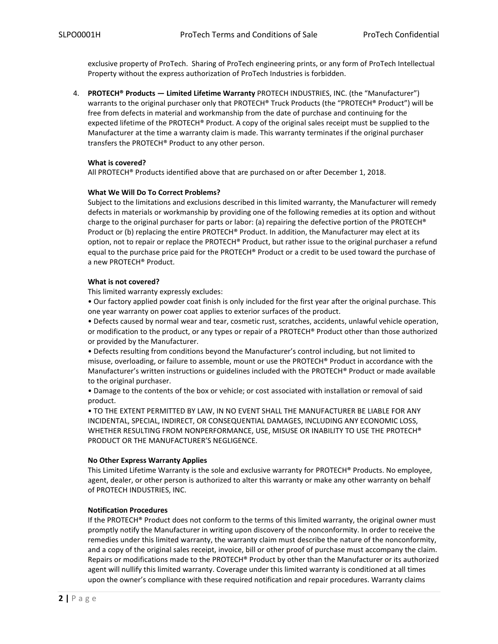exclusive property of ProTech. Sharing of ProTech engineering prints, or any form of ProTech Intellectual Property without the express authorization of ProTech Industries is forbidden.

4. **PROTECH® Products — Limited Lifetime Warranty** PROTECH INDUSTRIES, INC. (the "Manufacturer") warrants to the original purchaser only that PROTECH® Truck Products (the "PROTECH® Product") will be free from defects in material and workmanship from the date of purchase and continuing for the expected lifetime of the PROTECH® Product. A copy of the original sales receipt must be supplied to the Manufacturer at the time a warranty claim is made. This warranty terminates if the original purchaser transfers the PROTECH® Product to any other person.

#### **What is covered?**

All PROTECH® Products identified above that are purchased on or after December 1, 2018.

### **What We Will Do To Correct Problems?**

Subject to the limitations and exclusions described in this limited warranty, the Manufacturer will remedy defects in materials or workmanship by providing one of the following remedies at its option and without charge to the original purchaser for parts or labor: (a) repairing the defective portion of the PROTECH® Product or (b) replacing the entire PROTECH® Product. In addition, the Manufacturer may elect at its option, not to repair or replace the PROTECH® Product, but rather issue to the original purchaser a refund equal to the purchase price paid for the PROTECH® Product or a credit to be used toward the purchase of a new PROTECH® Product.

#### **What is not covered?**

This limited warranty expressly excludes:

• Our factory applied powder coat finish is only included for the first year after the original purchase. This one year warranty on power coat applies to exterior surfaces of the product.

• Defects caused by normal wear and tear, cosmetic rust, scratches, accidents, unlawful vehicle operation, or modification to the product, or any types or repair of a PROTECH® Product other than those authorized or provided by the Manufacturer.

• Defects resulting from conditions beyond the Manufacturer's control including, but not limited to misuse, overloading, or failure to assemble, mount or use the PROTECH® Product in accordance with the Manufacturer's written instructions or guidelines included with the PROTECH® Product or made available to the original purchaser.

• Damage to the contents of the box or vehicle; or cost associated with installation or removal of said product.

• TO THE EXTENT PERMITTED BY LAW, IN NO EVENT SHALL THE MANUFACTURER BE LIABLE FOR ANY INCIDENTAL, SPECIAL, INDIRECT, OR CONSEQUENTIAL DAMAGES, INCLUDING ANY ECONOMIC LOSS, WHETHER RESULTING FROM NONPERFORMANCE, USE, MISUSE OR INABILITY TO USE THE PROTECH® PRODUCT OR THE MANUFACTURER'S NEGLIGENCE.

#### **No Other Express Warranty Applies**

This Limited Lifetime Warranty is the sole and exclusive warranty for PROTECH® Products. No employee, agent, dealer, or other person is authorized to alter this warranty or make any other warranty on behalf of PROTECH INDUSTRIES, INC.

# **Notification Procedures**

If the PROTECH® Product does not conform to the terms of this limited warranty, the original owner must promptly notify the Manufacturer in writing upon discovery of the nonconformity. In order to receive the remedies under this limited warranty, the warranty claim must describe the nature of the nonconformity, and a copy of the original sales receipt, invoice, bill or other proof of purchase must accompany the claim. Repairs or modifications made to the PROTECH® Product by other than the Manufacturer or its authorized agent will nullify this limited warranty. Coverage under this limited warranty is conditioned at all times upon the owner's compliance with these required notification and repair procedures. Warranty claims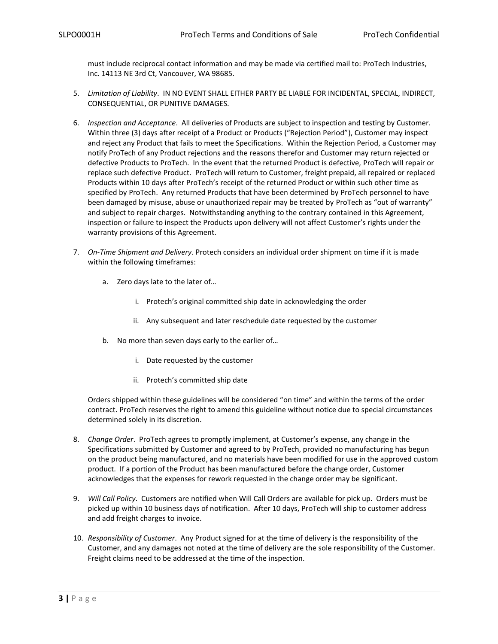must include reciprocal contact information and may be made via certified mail to: ProTech Industries, Inc. 14113 NE 3rd Ct, Vancouver, WA 98685.

- 5. *Limitation of Liability*. IN NO EVENT SHALL EITHER PARTY BE LIABLE FOR INCIDENTAL, SPECIAL, INDIRECT, CONSEQUENTIAL, OR PUNITIVE DAMAGES.
- 6. *Inspection and Acceptance*. All deliveries of Products are subject to inspection and testing by Customer. Within three (3) days after receipt of a Product or Products ("Rejection Period"), Customer may inspect and reject any Product that fails to meet the Specifications. Within the Rejection Period, a Customer may notify ProTech of any Product rejections and the reasons therefor and Customer may return rejected or defective Products to ProTech. In the event that the returned Product is defective, ProTech will repair or replace such defective Product. ProTech will return to Customer, freight prepaid, all repaired or replaced Products within 10 days after ProTech's receipt of the returned Product or within such other time as specified by ProTech. Any returned Products that have been determined by ProTech personnel to have been damaged by misuse, abuse or unauthorized repair may be treated by ProTech as "out of warranty" and subject to repair charges. Notwithstanding anything to the contrary contained in this Agreement, inspection or failure to inspect the Products upon delivery will not affect Customer's rights under the warranty provisions of this Agreement.
- 7. *On-Time Shipment and Delivery*. Protech considers an individual order shipment on time if it is made within the following timeframes:
	- a. Zero days late to the later of…
		- i. Protech's original committed ship date in acknowledging the order
		- ii. Any subsequent and later reschedule date requested by the customer
	- b. No more than seven days early to the earlier of…
		- i. Date requested by the customer
		- ii. Protech's committed ship date

Orders shipped within these guidelines will be considered "on time" and within the terms of the order contract. ProTech reserves the right to amend this guideline without notice due to special circumstances determined solely in its discretion.

- 8. *Change Order*. ProTech agrees to promptly implement, at Customer's expense, any change in the Specifications submitted by Customer and agreed to by ProTech, provided no manufacturing has begun on the product being manufactured, and no materials have been modified for use in the approved custom product. If a portion of the Product has been manufactured before the change order, Customer acknowledges that the expenses for rework requested in the change order may be significant.
- 9. *Will Call Policy*. Customers are notified when Will Call Orders are available for pick up. Orders must be picked up within 10 business days of notification. After 10 days, ProTech will ship to customer address and add freight charges to invoice.
- 10. *Responsibility of Customer*. Any Product signed for at the time of delivery is the responsibility of the Customer, and any damages not noted at the time of delivery are the sole responsibility of the Customer. Freight claims need to be addressed at the time of the inspection.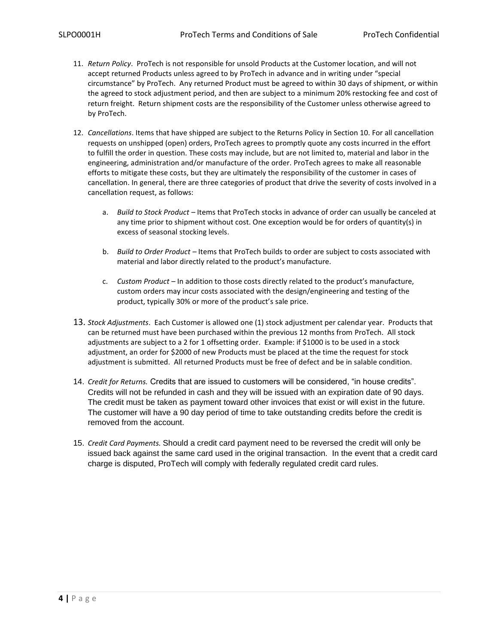- 11. *Return Policy*. ProTech is not responsible for unsold Products at the Customer location, and will not accept returned Products unless agreed to by ProTech in advance and in writing under "special circumstance" by ProTech. Any returned Product must be agreed to within 30 days of shipment, or within the agreed to stock adjustment period, and then are subject to a minimum 20% restocking fee and cost of return freight. Return shipment costs are the responsibility of the Customer unless otherwise agreed to by ProTech.
- 12. *Cancellations*. Items that have shipped are subject to the Returns Policy in Section 10. For all cancellation requests on unshipped (open) orders, ProTech agrees to promptly quote any costs incurred in the effort to fulfill the order in question. These costs may include, but are not limited to, material and labor in the engineering, administration and/or manufacture of the order. ProTech agrees to make all reasonable efforts to mitigate these costs, but they are ultimately the responsibility of the customer in cases of cancellation. In general, there are three categories of product that drive the severity of costs involved in a cancellation request, as follows:
	- a. *Build to Stock Product –* Items that ProTech stocks in advance of order can usually be canceled at any time prior to shipment without cost. One exception would be for orders of quantity(s) in excess of seasonal stocking levels.
	- b. *Build to Order Product –* Items that ProTech builds to order are subject to costs associated with material and labor directly related to the product's manufacture.
	- c. *Custom Product –* In addition to those costs directly related to the product's manufacture, custom orders may incur costs associated with the design/engineering and testing of the product, typically 30% or more of the product's sale price.
- 13. *Stock Adjustments*. Each Customer is allowed one (1) stock adjustment per calendar year. Products that can be returned must have been purchased within the previous 12 months from ProTech. All stock adjustments are subject to a 2 for 1 offsetting order. Example: if \$1000 is to be used in a stock adjustment, an order for \$2000 of new Products must be placed at the time the request for stock adjustment is submitted. All returned Products must be free of defect and be in salable condition.
- 14. *Credit for Returns.* Credits that are issued to customers will be considered, "in house credits". Credits will not be refunded in cash and they will be issued with an expiration date of 90 days. The credit must be taken as payment toward other invoices that exist or will exist in the future. The customer will have a 90 day period of time to take outstanding credits before the credit is removed from the account.
- 15. *Credit Card Payments.* Should a credit card payment need to be reversed the credit will only be issued back against the same card used in the original transaction. In the event that a credit card charge is disputed, ProTech will comply with federally regulated credit card rules.